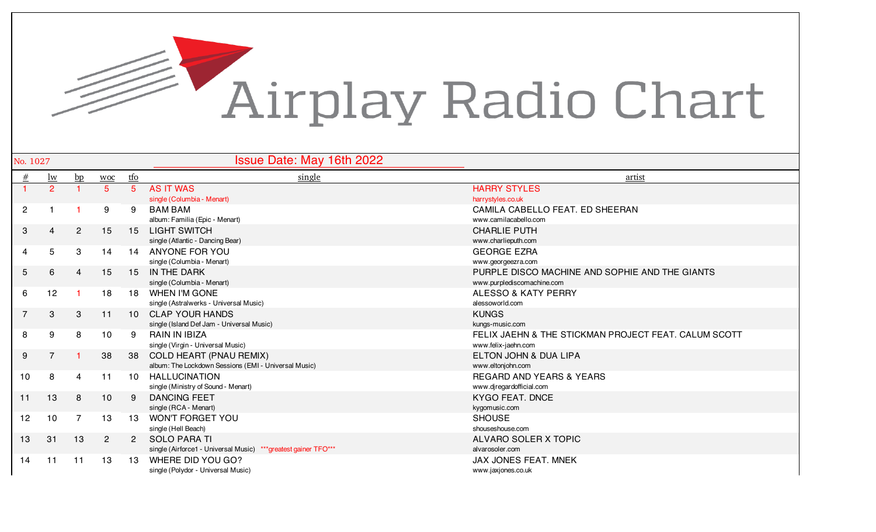

| No. 1027       |                 |                |                |                 | <b>Issue Date: May 16th 2022</b>                                |                                                      |
|----------------|-----------------|----------------|----------------|-----------------|-----------------------------------------------------------------|------------------------------------------------------|
| $\#$           | $lw$            | bp             | <b>WOC</b>     | <u>tfo</u>      | single                                                          | <u>artist</u>                                        |
|                | 2 <sup>1</sup>  |                | 5              | 5               | <b>AS IT WAS</b>                                                | <b>HARRY STYLES</b>                                  |
|                |                 |                |                |                 | single (Columbia - Menart)                                      | harrystyles.co.uk                                    |
| $\overline{2}$ |                 |                | 9              | 9               | <b>BAM BAM</b>                                                  | CAMILA CABELLO FEAT. ED SHEERAN                      |
|                |                 |                |                |                 | album: Familia (Epic - Menart)                                  | www.camilacabello.com                                |
| 3              | 4               | $\overline{2}$ | 15             | 15              | <b>LIGHT SWITCH</b>                                             | <b>CHARLIE PUTH</b>                                  |
|                |                 |                |                |                 | single (Atlantic - Dancing Bear)                                | www.charlieputh.com                                  |
| 4              | $5\overline{)}$ | 3              | 14             | 14              | <b>ANYONE FOR YOU</b>                                           | <b>GEORGE EZRA</b>                                   |
|                |                 |                |                |                 | single (Columbia - Menart)                                      | www.georgeezra.com                                   |
| 5              | 6               | $\overline{4}$ | 15             | 15              | IN THE DARK                                                     | PURPLE DISCO MACHINE AND SOPHIE AND THE GIANTS       |
|                |                 |                |                |                 | single (Columbia - Menart)                                      | www.purplediscomachine.com                           |
| 6              | 12              |                | 18             | 18              | <b>WHEN I'M GONE</b>                                            | <b>ALESSO &amp; KATY PERRY</b>                       |
|                |                 |                |                |                 | single (Astralwerks - Universal Music)                          | alessoworld.com                                      |
| $\overline{7}$ | 3               | 3              | 11             | 10 <sup>1</sup> | <b>CLAP YOUR HANDS</b>                                          | <b>KUNGS</b>                                         |
|                |                 |                |                |                 | single (Island Def Jam - Universal Music)                       | kungs-music.com                                      |
| 8              | 9               | 8              | 10             | 9               | <b>RAIN IN IBIZA</b>                                            | FELIX JAEHN & THE STICKMAN PROJECT FEAT. CALUM SCOTT |
|                |                 |                |                |                 | single (Virgin - Universal Music)                               | www.felix-jaehn.com                                  |
| 9              | $\overline{7}$  |                | 38             | 38              | COLD HEART (PNAU REMIX)                                         | <b>ELTON JOHN &amp; DUA LIPA</b>                     |
|                |                 |                |                |                 | album: The Lockdown Sessions (EMI - Universal Music)            | www.eltonjohn.com                                    |
| 10             | 8               | 4              | 11             | 10              | <b>HALLUCINATION</b>                                            | <b>REGARD AND YEARS &amp; YEARS</b>                  |
|                |                 |                |                |                 | single (Ministry of Sound - Menart)                             | www.djregardofficial.com                             |
| 11             | 13              | 8              | 10             | $\mathbf{Q}$    | <b>DANCING FEET</b>                                             | <b>KYGO FEAT, DNCE</b>                               |
|                |                 |                |                |                 | single (RCA - Menart)                                           | kygomusic.com                                        |
| 12             | 10              |                | 13             | 13              | <b>WON'T FORGET YOU</b>                                         | <b>SHOUSE</b>                                        |
|                |                 |                |                |                 | single (Hell Beach)                                             | shouseshouse.com                                     |
| 13             | 31              | 13             | $\overline{2}$ | $\overline{2}$  | <b>SOLO PARA TI</b>                                             | ALVARO SOLER X TOPIC                                 |
|                |                 |                |                |                 | single (Airforce1 - Universal Music) *** greatest gainer TFO*** | alvarosoler.com                                      |
| 14             | 11              | 11             | 13             | 13              | WHERE DID YOU GO?                                               | JAX JONES FEAT. MNEK                                 |
|                |                 |                |                |                 | single (Polydor - Universal Music)                              | www.jaxjones.co.uk                                   |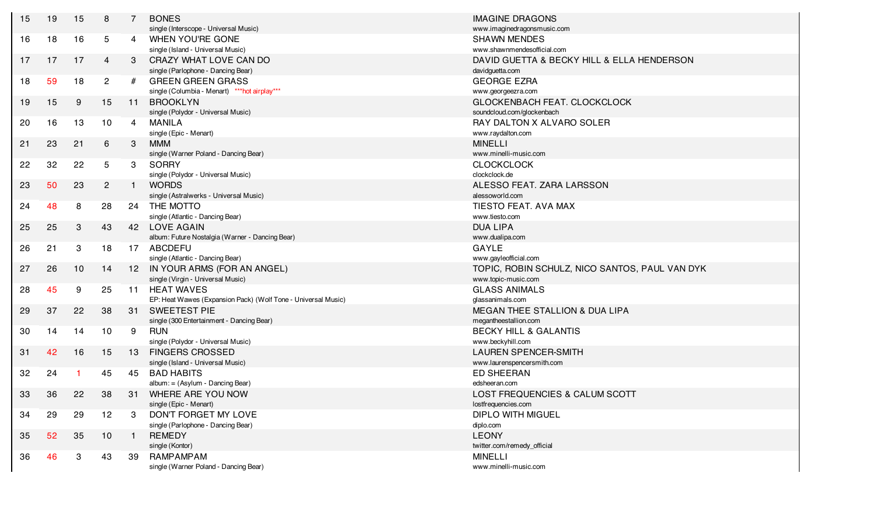| 15 | 19 | 15           | 8              | $\overline{7}$  | <b>BONES</b><br>single (Interscope - Universal Music)         | <b>IMAGINE DRAGONS</b><br>www.imaginedragonsmusic.com |
|----|----|--------------|----------------|-----------------|---------------------------------------------------------------|-------------------------------------------------------|
|    |    |              |                |                 |                                                               |                                                       |
| 16 | 18 | 16           | 5 <sup>5</sup> | 4               | WHEN YOU'RE GONE                                              | <b>SHAWN MENDES</b>                                   |
|    |    |              |                |                 | single (Island - Universal Music)                             | www.shawnmendesofficial.com                           |
| 17 | 17 | 17           | $\overline{4}$ | 3               | CRAZY WHAT LOVE CAN DO                                        | DAVID GUETTA & BECKY HILL & ELLA HENDERSON            |
|    |    |              |                |                 | single (Parlophone - Dancing Bear)                            | davidguetta.com                                       |
| 18 | 59 | 18           | $\overline{2}$ | #               | <b>GREEN GREEN GRASS</b>                                      | <b>GEORGE EZRA</b>                                    |
|    |    |              |                |                 | single (Columbia - Menart) *** hot airplay***                 | www.georgeezra.com                                    |
| 19 | 15 | 9            | 15             | 11              | <b>BROOKLYN</b>                                               | GLOCKENBACH FEAT. CLOCKCLOCK                          |
|    |    |              |                |                 | single (Polydor - Universal Music)                            | soundcloud.com/glockenbach                            |
| 20 | 16 | 13           | 10             | $\overline{4}$  | MANILA                                                        | RAY DALTON X ALVARO SOLER                             |
|    |    |              |                |                 | single (Epic - Menart)                                        | www.raydalton.com                                     |
| 21 | 23 | 21           | 6              | 3               | <b>MMM</b>                                                    | <b>MINELLI</b>                                        |
|    |    |              |                |                 | single (Warner Poland - Dancing Bear)                         | www.minelli-music.com                                 |
| 22 | 32 | 22           | 5              | 3               | <b>SORRY</b>                                                  | <b>CLOCKCLOCK</b>                                     |
|    |    |              |                |                 | single (Polydor - Universal Music)                            | clockclock.de                                         |
| 23 | 50 | 23           | $\overline{2}$ | $\mathbf{1}$    | <b>WORDS</b>                                                  | ALESSO FEAT. ZARA LARSSON                             |
|    |    |              |                |                 | single (Astralwerks - Universal Music)                        | alessoworld.com                                       |
| 24 | 48 | 8            | 28             | 24              | THE MOTTO                                                     | TIESTO FEAT. AVA MAX                                  |
|    |    |              |                |                 | single (Atlantic - Dancing Bear)                              | www.tiesto.com                                        |
| 25 | 25 | 3            | 43             | 42              | <b>LOVE AGAIN</b>                                             | <b>DUA LIPA</b>                                       |
|    |    |              |                |                 | album: Future Nostalgia (Warner - Dancing Bear)               | www.dualipa.com                                       |
| 26 | 21 | 3            | 18             | 17              | <b>ABCDEFU</b>                                                | <b>GAYLE</b>                                          |
|    |    |              |                |                 | single (Atlantic - Dancing Bear)                              | www.gayleofficial.com                                 |
| 27 | 26 | 10           | 14             | 12 <sup>7</sup> | IN YOUR ARMS (FOR AN ANGEL)                                   | TOPIC, ROBIN SCHULZ, NICO SANTOS, PAUL VAN DYK        |
|    |    |              |                |                 | single (Virgin - Universal Music)                             | www.topic-music.com                                   |
| 28 | 45 | 9            | 25             | 11              | <b>HEAT WAVES</b>                                             | <b>GLASS ANIMALS</b>                                  |
|    |    |              |                |                 | EP: Heat Wawes (Expansion Pack) (Wolf Tone - Universal Music) | glassanimals.com                                      |
| 29 | 37 | 22           | 38             | 31              | <b>SWEETEST PIE</b>                                           | <b>MEGAN THEE STALLION &amp; DUA LIPA</b>             |
|    |    |              |                |                 | single (300 Entertainment - Dancing Bear)                     | megantheestallion.com                                 |
| 30 | 14 | 14           | 10             | 9               | <b>RUN</b>                                                    | <b>BECKY HILL &amp; GALANTIS</b>                      |
|    |    |              |                |                 | single (Polydor - Universal Music)                            | www.beckyhill.com                                     |
| 31 | 42 | 16           | 15             | 13              | <b>FINGERS CROSSED</b>                                        | <b>LAUREN SPENCER-SMITH</b>                           |
|    |    |              |                |                 | single (Island - Universal Music)                             | www.laurenspencersmith.com                            |
| 32 | 24 | $\mathbf{1}$ | 45             | 45              | <b>BAD HABITS</b>                                             | <b>ED SHEERAN</b>                                     |
|    |    |              |                |                 | album: = (Asylum - Dancing Bear)                              | edsheeran.com                                         |
| 33 | 36 | 22           | 38             | 31              | WHERE ARE YOU NOW                                             | LOST FREQUENCIES & CALUM SCOTT                        |
|    |    |              |                |                 | single (Epic - Menart)                                        | lostfrequencies.com                                   |
| 34 | 29 | 29           | 12             | 3               | DON'T FORGET MY LOVE                                          | <b>DIPLO WITH MIGUEL</b>                              |
|    |    |              |                |                 | single (Parlophone - Dancing Bear)                            | diplo.com                                             |
| 35 | 52 | 35           | 10             | $\mathbf{1}$    | <b>REMEDY</b>                                                 | <b>LEONY</b>                                          |
|    |    |              |                |                 | single (Kontor)                                               | twitter.com/remedy_official                           |
| 36 | 46 | 3            | 43             | 39              | RAMPAMPAM                                                     | <b>MINELLI</b>                                        |
|    |    |              |                |                 | single (Warner Poland - Dancing Bear)                         | www.minelli-music.com                                 |
|    |    |              |                |                 |                                                               |                                                       |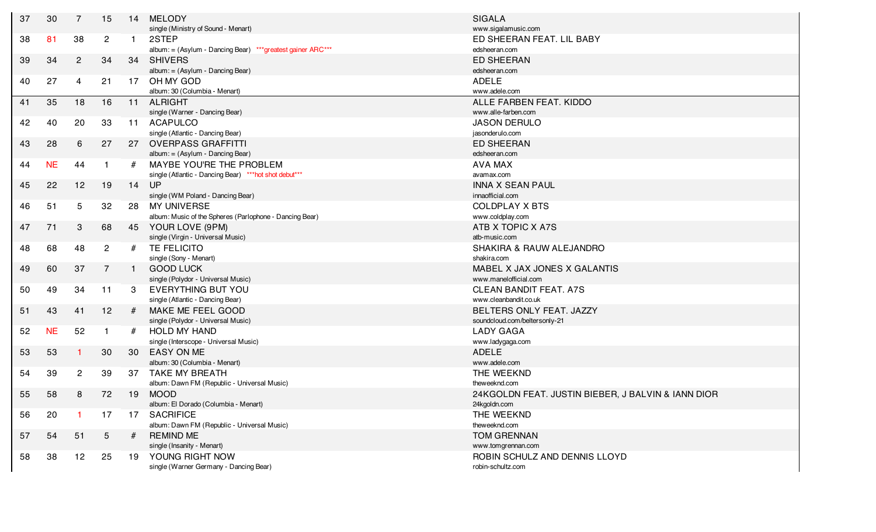| 37 | 30        | $\overline{7}$  | 15              | 14           | <b>MELODY</b><br>single (Ministry of Sound - Menart)        | <b>SIGALA</b><br>www.sigalamusic.com               |
|----|-----------|-----------------|-----------------|--------------|-------------------------------------------------------------|----------------------------------------------------|
| 38 | 81        | 38              | $\overline{2}$  | $\mathbf 1$  | 2STEP                                                       | ED SHEERAN FEAT. LIL BABY                          |
|    |           |                 |                 |              | album: = (Asylum - Dancing Bear) *** greatest gainer ARC*** | edsheeran.com                                      |
| 39 | 34        | $\overline{2}$  | 34              | 34           | <b>SHIVERS</b>                                              | <b>ED SHEERAN</b>                                  |
|    |           |                 |                 |              | album: = (Asylum - Dancing Bear)                            | edsheeran.com                                      |
| 40 | 27        | 4               | 21              | 17           | OH MY GOD                                                   | <b>ADELE</b>                                       |
|    |           |                 |                 |              | album: 30 (Columbia - Menart)                               | www.adele.com                                      |
| 41 | 35        | 18              | 16              | 11           | <b>ALRIGHT</b>                                              | ALLE FARBEN FEAT. KIDDO                            |
|    |           |                 |                 |              | single (Warner - Dancing Bear)                              | www.alle-farben.com                                |
| 42 | 40        | 20              | 33              | 11           | ACAPULCO                                                    | <b>JASON DERULO</b>                                |
|    |           |                 |                 |              | single (Atlantic - Dancing Bear)                            | jasonderulo.com                                    |
| 43 | 28        | 6               | 27              | 27           | <b>OVERPASS GRAFFITTI</b>                                   | <b>ED SHEERAN</b>                                  |
|    |           |                 |                 |              | album: = (Asylum - Dancing Bear)                            | edsheeran.com                                      |
| 44 | <b>NE</b> | 44              | -1              | #            | MAYBE YOU'RE THE PROBLEM                                    | <b>AVA MAX</b>                                     |
|    |           |                 |                 |              | single (Atlantic - Dancing Bear) *** hot shot debut***      | avamax.com                                         |
| 45 | 22        | 12              | 19              |              | 14 UP                                                       | <b>INNA X SEAN PAUL</b>                            |
|    |           |                 |                 |              | single (WM Poland - Dancing Bear)                           | innaofficial.com                                   |
| 46 | 51        | 5               | 32              | 28           | <b>MY UNIVERSE</b>                                          | <b>COLDPLAY X BTS</b>                              |
|    |           |                 |                 |              | album: Music of the Spheres (Parlophone - Dancing Bear)     | www.coldplay.com                                   |
| 47 | 71        | 3               | 68              | 45           | YOUR LOVE (9PM)                                             | ATB X TOPIC X A7S                                  |
|    |           |                 |                 |              | single (Virgin - Universal Music)                           | atb-music.com                                      |
| 48 | 68        | 48              | $\overline{2}$  | #            | TE FELICITO                                                 | SHAKIRA & RAUW ALEJANDRO                           |
|    |           |                 |                 |              | single (Sony - Menart)                                      | shakira.com                                        |
| 49 | 60        | 37              | $\overline{7}$  | $\mathbf{1}$ | <b>GOOD LUCK</b>                                            | MABEL X JAX JONES X GALANTIS                       |
|    |           |                 |                 |              | single (Polydor - Universal Music)                          | www.manelofficial.com                              |
| 50 | 49        | 34              | 11              | -3           | EVERYTHING BUT YOU                                          | <b>CLEAN BANDIT FEAT. A7S</b>                      |
|    |           |                 |                 |              | single (Atlantic - Dancing Bear)                            | www.cleanbandit.co.uk                              |
| 51 | 43        | 41              | 12              | #            | MAKE ME FEEL GOOD                                           | BELTERS ONLY FEAT. JAZZY                           |
|    |           |                 |                 |              | single (Polydor - Universal Music)                          | soundcloud.com/beltersonly-21                      |
| 52 | <b>NE</b> | 52              | $\mathbf{1}$    | #            | <b>HOLD MY HAND</b>                                         | <b>LADY GAGA</b>                                   |
|    |           |                 |                 |              | single (Interscope - Universal Music)                       | www.ladygaga.com                                   |
| 53 | 53        |                 | 30              | 30           | <b>EASY ON ME</b>                                           | <b>ADELE</b>                                       |
|    |           |                 |                 |              | album: 30 (Columbia - Menart)                               | www.adele.com                                      |
| 54 | 39        | $\overline{2}$  | 39              | 37           | <b>TAKE MY BREATH</b>                                       | THE WEEKND                                         |
|    |           |                 |                 |              | album: Dawn FM (Republic - Universal Music)                 | theweeknd.com                                      |
| 55 | 58        | 8               | 72              | 19           | <b>MOOD</b>                                                 | 24KGOLDN FEAT. JUSTIN BIEBER, J BALVIN & IANN DIOR |
|    |           |                 |                 |              | album: El Dorado (Columbia - Menart)                        | 24kgoldn.com                                       |
| 56 | 20        |                 | 17              | 17           | <b>SACRIFICE</b>                                            | THE WEEKND                                         |
|    |           |                 |                 |              | album: Dawn FM (Republic - Universal Music)                 | theweeknd.com                                      |
| 57 | 54        | 51              | $5\overline{)}$ | #            | <b>REMIND ME</b>                                            | <b>TOM GRENNAN</b>                                 |
|    |           |                 |                 |              | single (Insanity - Menart)                                  | www.tomgrennan.com                                 |
| 58 | 38        | 12 <sub>2</sub> | 25              | 19           | YOUNG RIGHT NOW                                             | ROBIN SCHULZ AND DENNIS LLOYD                      |
|    |           |                 |                 |              | single (Warner Germany - Dancing Bear)                      | robin-schultz.com                                  |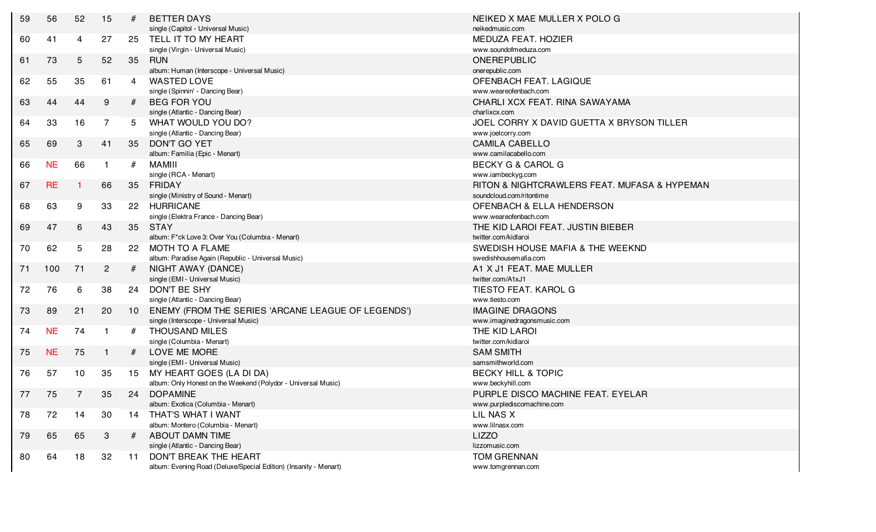| 59 | 56        | 52 | 15           | #  | <b>BETTER DAYS</b><br>single (Capitol - Universal Music)         | NEIKED X MAE MULLER X POLO G<br>neikedmusic.com |
|----|-----------|----|--------------|----|------------------------------------------------------------------|-------------------------------------------------|
| 60 | 41        | 4  | 27           | 25 | TELL IT TO MY HEART                                              | MEDUZA FEAT. HOZIER                             |
|    |           |    |              |    | single (Virgin - Universal Music)                                | www.soundofmeduza.com                           |
| 61 | 73        | 5  | 52           | 35 | <b>RUN</b><br>album: Human (Interscope - Universal Music)        | ONEREPUBLIC<br>onerepublic.com                  |
| 62 | 55        | 35 | 61           | 4  | <b>WASTED LOVE</b>                                               | OFENBACH FEAT. LAGIQUE                          |
|    |           |    |              |    | single (Spinnin' - Dancing Bear)                                 | www.weareofenbach.com                           |
| 63 | 44        | 44 | 9            | #  | <b>BEG FOR YOU</b>                                               | CHARLI XCX FEAT. RINA SAWAYAMA                  |
|    |           |    |              |    | single (Atlantic - Dancing Bear)                                 | charlixcx.com                                   |
| 64 | 33        | 16 | 7            | 5  | WHAT WOULD YOU DO?                                               | JOEL CORRY X DAVID GUETTA X BRYSON TILLER       |
|    |           |    |              |    | single (Atlantic - Dancing Bear)                                 | www.joelcorry.com                               |
| 65 | 69        | 3  | 41           | 35 | DON'T GO YET                                                     | <b>CAMILA CABELLO</b>                           |
|    |           |    |              |    | album: Familia (Epic - Menart)                                   | www.camilacabello.com                           |
| 66 | <b>NE</b> | 66 | $\mathbf 1$  | #  | <b>MAMIII</b>                                                    | <b>BECKY G &amp; CAROL G</b>                    |
|    |           |    |              |    | single (RCA - Menart)                                            | www.iambeckyg.com                               |
| 67 | <b>RE</b> |    | 66           | 35 | FRIDAY                                                           | RITON & NIGHTCRAWLERS FEAT. MUFASA & HYPEMAN    |
|    |           |    |              |    | single (Ministry of Sound - Menart)                              | soundcloud.com/ritontime                        |
| 68 | 63        | 9  | 33           |    | 22 HURRICANE                                                     | <b>OFENBACH &amp; ELLA HENDERSON</b>            |
|    |           |    |              |    | single (Elektra France - Dancing Bear)                           | www.weareofenbach.com                           |
| 69 | 47        | 6  | 43           | 35 | <b>STAY</b>                                                      | THE KID LAROI FEAT. JUSTIN BIEBER               |
|    |           |    |              |    | album: F*ck Love 3: Over You (Columbia - Menart)                 | twitter.com/kidlaroi                            |
| 70 | 62        | 5  | 28           | 22 | MOTH TO A FLAME                                                  | SWEDISH HOUSE MAFIA & THE WEEKND                |
|    |           |    |              |    | album: Paradise Again (Republic - Universal Music)               | swedishhousemafia.com                           |
| 71 | 100       | 71 | $\mathbf{2}$ | #  | NIGHT AWAY (DANCE)                                               | A1 X J1 FEAT. MAE MULLER                        |
|    |           |    |              |    | single (EMI - Universal Music)                                   | twitter.com/A1xJ1                               |
| 72 | 76        | 6  | 38           |    | 24 DON'T BE SHY                                                  | TIESTO FEAT. KAROL G                            |
|    |           |    |              |    | single (Atlantic - Dancing Bear)                                 | www.tiesto.com                                  |
| 73 | 89        | 21 | 20           | 10 | ENEMY (FROM THE SERIES 'ARCANE LEAGUE OF LEGENDS')               | <b>IMAGINE DRAGONS</b>                          |
|    |           |    |              |    | single (Interscope - Universal Music)                            | www.imaginedragonsmusic.com                     |
| 74 | <b>NE</b> | 74 | -1           | #  | <b>THOUSAND MILES</b>                                            | THE KID LAROI                                   |
|    |           |    |              |    | single (Columbia - Menart)                                       | twitter.com/kidlaroi                            |
| 75 | <b>NE</b> | 75 | $\mathbf{1}$ | #  | LOVE ME MORE                                                     | <b>SAM SMITH</b>                                |
|    |           |    |              |    | single (EMI - Universal Music)                                   | samsmithworld.com                               |
| 76 | 57        | 10 | 35           | 15 | MY HEART GOES (LA DI DA)                                         | <b>BECKY HILL &amp; TOPIC</b>                   |
|    |           |    |              |    | album: Only Honest on the Weekend (Polydor - Universal Music)    | www.beckyhill.com                               |
| 77 | 75        | 7  | 35           |    | 24 DOPAMINE                                                      | PURPLE DISCO MACHINE FEAT. EYELAR               |
|    |           |    |              |    | album: Exotica (Columbia - Menart)                               | www.purplediscomachine.com                      |
| 78 | 72        | 14 | 30           | 14 | THAT'S WHAT I WANT                                               | LIL NAS X                                       |
|    |           |    |              |    | album: Montero (Columbia - Menart)                               | www.lilnasx.com                                 |
| 79 | 65        | 65 | 3            | #  | <b>ABOUT DAMN TIME</b>                                           | <b>LIZZO</b>                                    |
|    |           |    |              |    | single (Atlantic - Dancing Bear)                                 | lizzomusic.com                                  |
| 80 | 64        | 18 | 32           | 11 | DON'T BREAK THE HEART                                            | <b>TOM GRENNAN</b>                              |
|    |           |    |              |    | album: Evening Road (Deluxe/Special Edition) (Insanity - Menart) | www.tomgrennan.com                              |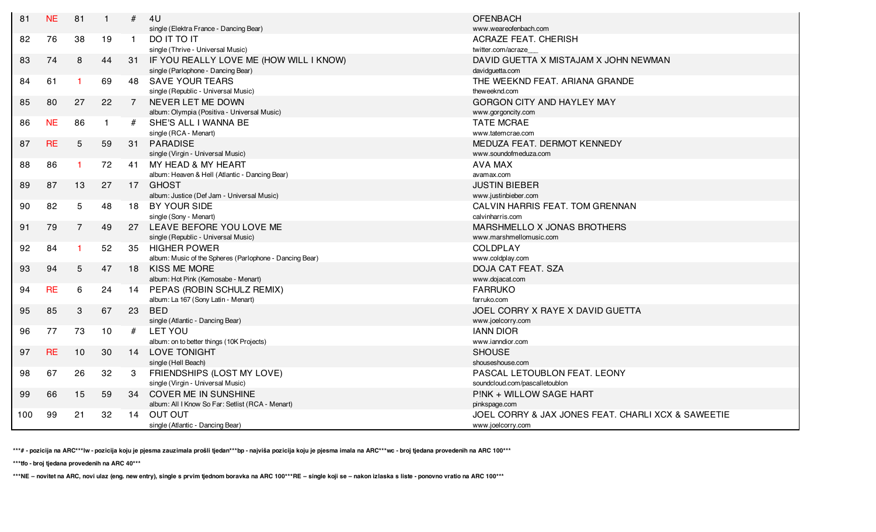| 81  | <b>NE</b> | 81             | $\mathbf 1$  | #            | 4 <sub>U</sub>                                          | <b>OFENBACH</b>                                    |
|-----|-----------|----------------|--------------|--------------|---------------------------------------------------------|----------------------------------------------------|
|     |           |                |              |              | single (Elektra France - Dancing Bear)                  | www.weareofenbach.com                              |
| 82  | 76        | 38             | 19           | $\mathbf{1}$ | TI OT TI OD                                             | <b>ACRAZE FEAT. CHERISH</b>                        |
|     |           |                |              |              | single (Thrive - Universal Music)                       | twitter.com/acraze                                 |
| 83  | 74        | 8              | 44           |              | 31 IF YOU REALLY LOVE ME (HOW WILL I KNOW)              | DAVID GUETTA X MISTAJAM X JOHN NEWMAN              |
|     |           |                |              |              | single (Parlophone - Dancing Bear)                      | davidguetta.com                                    |
| 84  | 61        | -1             | 69           | 48           | <b>SAVE YOUR TEARS</b>                                  | THE WEEKND FEAT. ARIANA GRANDE                     |
|     |           |                |              |              | single (Republic - Universal Music)                     | theweeknd.com                                      |
| 85  | 80        | 27             | 22           |              | NEVER LET ME DOWN                                       | <b>GORGON CITY AND HAYLEY MAY</b>                  |
|     |           |                |              |              | album: Olympia (Positiva - Universal Music)             | www.gorgoncity.com                                 |
| 86  | <b>NE</b> | 86             | $\mathbf{1}$ | #            | SHE'S ALL I WANNA BE                                    | <b>TATE MCRAE</b>                                  |
|     |           |                |              |              | single (RCA - Menart)                                   | www.tatemcrae.com                                  |
| 87  | <b>RE</b> | 5              | 59           | 31           | PARADISE                                                | MEDUZA FEAT. DERMOT KENNEDY                        |
|     |           |                |              |              | single (Virgin - Universal Music)                       | www.soundofmeduza.com                              |
| 88  | 86        | -1             | 72           | 41           | MY HEAD & MY HEART                                      | <b>AVA MAX</b>                                     |
|     |           |                |              |              | album: Heaven & Hell (Atlantic - Dancing Bear)          | avamax.com                                         |
| 89  | 87        | 13             | 27           | 17           | <b>GHOST</b>                                            | <b>JUSTIN BIEBER</b>                               |
|     |           |                |              |              | album: Justice (Def Jam - Universal Music)              | www.justinbieber.com                               |
| 90  | 82        | $\overline{5}$ | 48           | 18           | BY YOUR SIDE                                            | CALVIN HARRIS FEAT. TOM GRENNAN                    |
|     |           |                |              |              | single (Sony - Menart)                                  | calvinharris.com                                   |
| 91  | 79        | $\overline{7}$ | 49           | 27           | LEAVE BEFORE YOU LOVE ME                                | MARSHMELLO X JONAS BROTHERS                        |
|     |           |                |              |              | single (Republic - Universal Music)                     | www.marshmellomusic.com                            |
| 92  | 84        | -1             | 52           | 35           | <b>HIGHER POWER</b>                                     | <b>COLDPLAY</b>                                    |
|     |           |                |              |              | album: Music of the Spheres (Parlophone - Dancing Bear) | www.coldplay.com                                   |
| 93  | 94        | 5              | 47           | 18           | <b>KISS ME MORE</b>                                     | DOJA CAT FEAT. SZA                                 |
|     |           |                |              |              | album: Hot Pink (Kemosabe - Menart)                     | www.dojacat.com                                    |
| 94  | <b>RE</b> | 6              | 24           | 14           | PEPAS (ROBIN SCHULZ REMIX)                              | <b>FARRUKO</b>                                     |
|     |           |                |              |              | album: La 167 (Sony Latin - Menart)                     | farruko.com                                        |
| 95  | 85        | 3              | 67           | 23           | <b>BED</b>                                              | JOEL CORRY X RAYE X DAVID GUETTA                   |
|     |           |                |              |              | single (Atlantic - Dancing Bear)                        | www.joelcorry.com                                  |
| 96  | 77        | 73             | 10           | #            | LET YOU                                                 | <b>IANN DIOR</b>                                   |
|     |           |                |              |              | album: on to better things (10K Projects)               | www.ianndior.com                                   |
| 97  | <b>RE</b> | 10             | 30           | 14           | <b>LOVE TONIGHT</b>                                     | <b>SHOUSE</b>                                      |
|     |           |                |              |              | single (Hell Beach)                                     | shouseshouse.com                                   |
| 98  | 67        | 26             | 32           | 3            | FRIENDSHIPS (LOST MY LOVE)                              | PASCAL LETOUBLON FEAT. LEONY                       |
|     |           |                |              |              | single (Virgin - Universal Music)                       | soundcloud.com/pascalletoublon                     |
| 99  | 66        | 15             | 59           | 34           | <b>COVER ME IN SUNSHINE</b>                             | PINK + WILLOW SAGE HART                            |
|     |           |                |              |              | album: All I Know So Far: Setlist (RCA - Menart)        | pinkspage.com                                      |
| 100 | 99        | 21             | 32           | 14           | <b>OUT OUT</b>                                          | JOEL CORRY & JAX JONES FEAT. CHARLI XCX & SAWEETIE |
|     |           |                |              |              | single (Atlantic - Dancing Bear)                        | www.joelcorry.com                                  |

**\*\*\*# - pozicija na ARC\*\*\*lw - pozicija koju je pjesma zauzimala prošli tjedan\*\*\*bp - najviša pozicija koju je pjesma imala na ARC\*\*\*wc - broj tjedana provedenih na ARC 100\*\*\***

**\*\*\*tfo - broj tjedana provedenih na ARC 40\*\*\***

**\*\*\*NE – novitet na ARC, novi ulaz (eng. new entry), single s prvim tjednom boravka na ARC 100\*\*\*RE – single koji se – nakon izlaska s liste - ponovno vratio na ARC 100\*\*\***